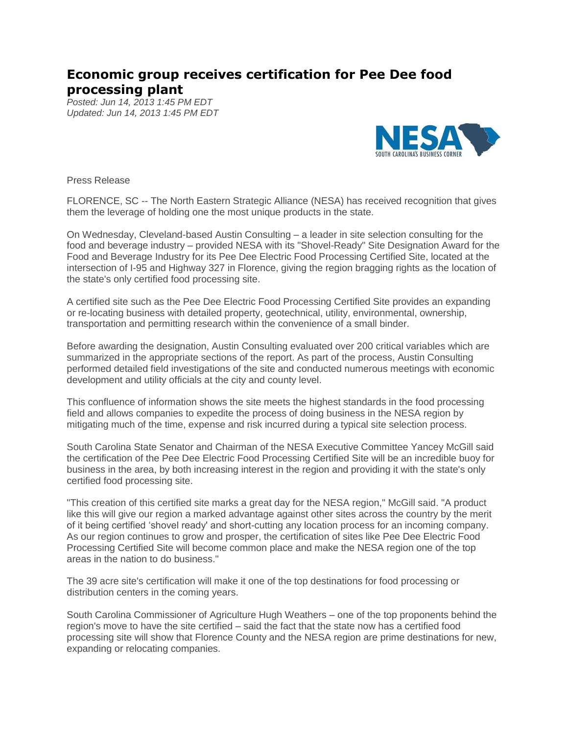## **Economic group receives certification for Pee Dee food processing plant**

*Posted: Jun 14, 2013 1:45 PM EDT Updated: Jun 14, 2013 1:45 PM EDT*



Press Release

FLORENCE, SC -- The North Eastern Strategic Alliance (NESA) has received recognition that gives them the leverage of holding one the most unique products in the state.

On Wednesday, Cleveland-based Austin Consulting – a leader in site selection consulting for the food and beverage industry – provided NESA with its "Shovel-Ready" Site Designation Award for the Food and Beverage Industry for its Pee Dee Electric Food Processing Certified Site, located at the intersection of I-95 and Highway 327 in Florence, giving the region bragging rights as the location of the state's only certified food processing site.

A certified site such as the Pee Dee Electric Food Processing Certified Site provides an expanding or re-locating business with detailed property, geotechnical, utility, environmental, ownership, transportation and permitting research within the convenience of a small binder.

Before awarding the designation, Austin Consulting evaluated over 200 critical variables which are summarized in the appropriate sections of the report. As part of the process, Austin Consulting performed detailed field investigations of the site and conducted numerous meetings with economic development and utility officials at the city and county level.

This confluence of information shows the site meets the highest standards in the food processing field and allows companies to expedite the process of doing business in the NESA region by mitigating much of the time, expense and risk incurred during a typical site selection process.

South Carolina State Senator and Chairman of the NESA Executive Committee Yancey McGill said the certification of the Pee Dee Electric Food Processing Certified Site will be an incredible buoy for business in the area, by both increasing interest in the region and providing it with the state's only certified food processing site.

"This creation of this certified site marks a great day for the NESA region," McGill said. "A product like this will give our region a marked advantage against other sites across the country by the merit of it being certified 'shovel ready' and short-cutting any location process for an incoming company. As our region continues to grow and prosper, the certification of sites like Pee Dee Electric Food Processing Certified Site will become common place and make the NESA region one of the top areas in the nation to do business."

The 39 acre site's certification will make it one of the top destinations for food processing or distribution centers in the coming years.

South Carolina Commissioner of Agriculture Hugh Weathers – one of the top proponents behind the region's move to have the site certified – said the fact that the state now has a certified food processing site will show that Florence County and the NESA region are prime destinations for new, expanding or relocating companies.